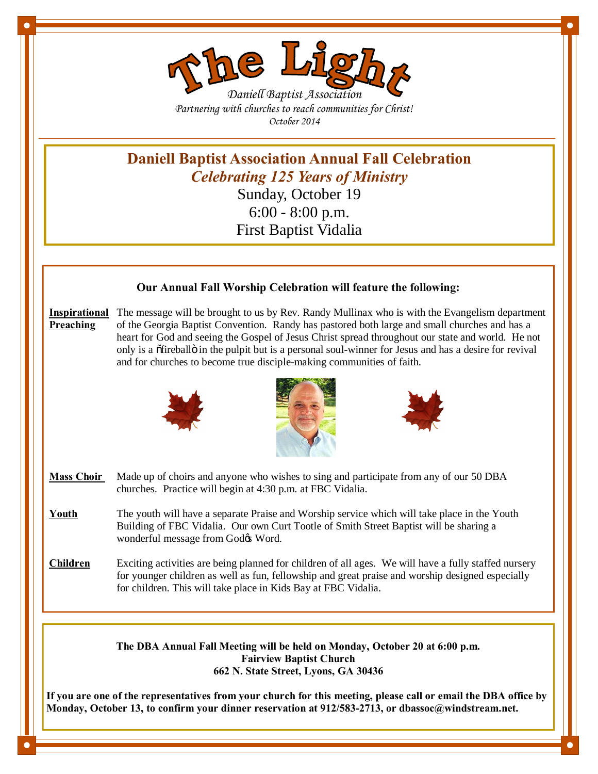

*Partnering with churches to reach communities for Christ! October 2014*

**Daniell Baptist Association Annual Fall Celebration** *Celebrating 125 Years of Ministry* Sunday, October 19

6:00 - 8:00 p.m. First Baptist Vidalia

# **Our Annual Fall Worship Celebration will feature the following:**

**Inspirational** The message will be brought to us by Rev. Randy Mullinax who is with the Evangelism department **Preaching** of the Georgia Baptist Convention. Randy has pastored both large and small churches and has a heart for God and seeing the Gospel of Jesus Christ spread throughout our state and world. He not only is a offreballo in the pulpit but is a personal soul-winner for Jesus and has a desire for revival and for churches to become true disciple-making communities of faith.







- **Mass Choir** Made up of choirs and anyone who wishes to sing and participate from any of our 50 DBA churches. Practice will begin at 4:30 p.m. at FBC Vidalia.
- **Youth** The youth will have a separate Praise and Worship service which will take place in the Youth Building of FBC Vidalia. Our own Curt Tootle of Smith Street Baptist will be sharing a wonderful message from Godøs Word.
- **Children** Exciting activities are being planned for children of all ages. We will have a fully staffed nursery for younger children as well as fun, fellowship and great praise and worship designed especially for children. This will take place in Kids Bay at FBC Vidalia.

**The DBA Annual Fall Meeting will be held on Monday, October 20 at 6:00 p.m. Fairview Baptist Church 662 N. State Street, Lyons, GA 30436**

**If you are one of the representatives from your church for this meeting, please call or email the DBA office by Monday, October 13, to confirm your dinner reservation at 912/583-2713, or dbassoc@windstream.net.**